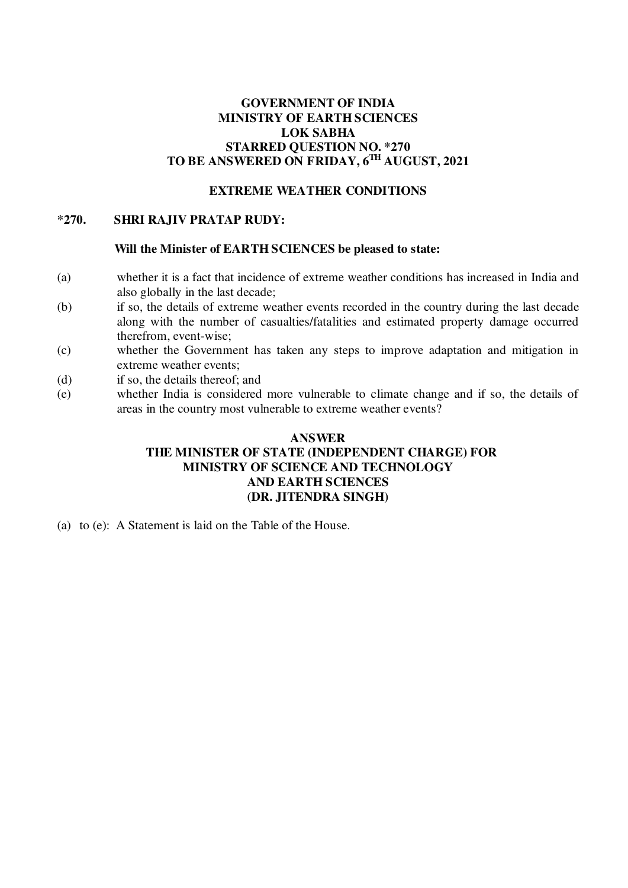# **GOVERNMENT OF INDIA MINISTRY OF EARTH SCIENCES LOK SABHA STARRED QUESTION NO. \*270 TO BE ANSWERED ON FRIDAY, 6TH AUGUST, 2021**

# **EXTREME WEATHER CONDITIONS**

# **\*270. SHRI RAJIV PRATAP RUDY:**

### **Will the Minister of EARTH SCIENCES be pleased to state:**

- (a) whether it is a fact that incidence of extreme weather conditions has increased in India and also globally in the last decade;
- (b) if so, the details of extreme weather events recorded in the country during the last decade along with the number of casualties/fatalities and estimated property damage occurred therefrom, event-wise;
- (c) whether the Government has taken any steps to improve adaptation and mitigation in extreme weather events;
- (d) if so, the details thereof; and
- (e) whether India is considered more vulnerable to climate change and if so, the details of areas in the country most vulnerable to extreme weather events?

# **ANSWER THE MINISTER OF STATE (INDEPENDENT CHARGE) FOR MINISTRY OF SCIENCE AND TECHNOLOGY AND EARTH SCIENCES (DR. JITENDRA SINGH)**

(a) to (e): A Statement is laid on the Table of the House.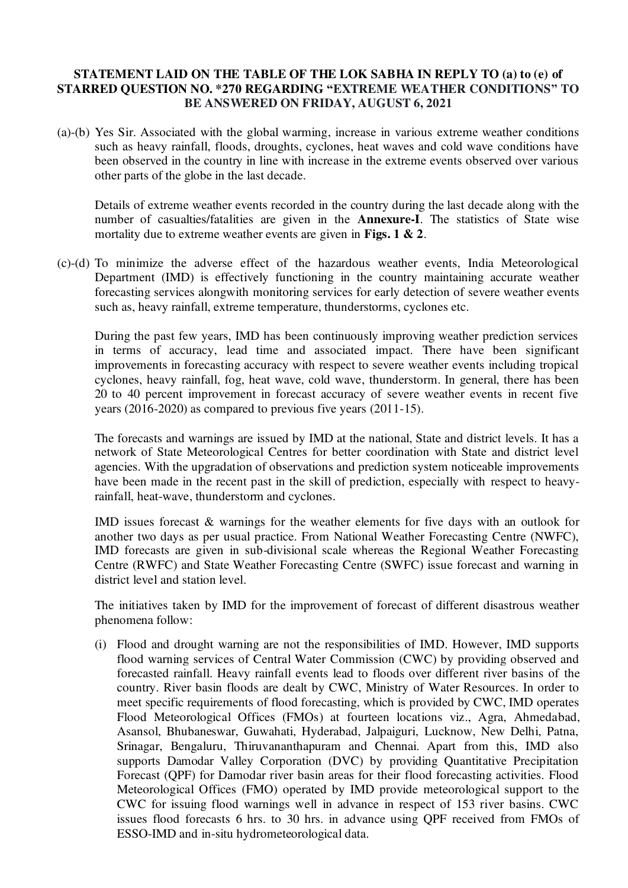# **STATEMENT LAID ON THE TABLE OF THE LOK SABHA IN REPLY TO (a) to (e) of STARRED QUESTION NO. \*270 REGARDING "EXTREME WEATHER CONDITIONS" TO BE ANSWERED ON FRIDAY, AUGUST 6, 2021**

(a)-(b) Yes Sir. Associated with the global warming, increase in various extreme weather conditions such as heavy rainfall, floods, droughts, cyclones, heat waves and cold wave conditions have been observed in the country in line with increase in the extreme events observed over various other parts of the globe in the last decade.

Details of extreme weather events recorded in the country during the last decade along with the number of casualties/fatalities are given in the **Annexure-I**. The statistics of State wise mortality due to extreme weather events are given in **Figs. 1 & 2**.

(c)-(d)To minimize the adverse effect of the hazardous weather events, India Meteorological Department (IMD) is effectively functioning in the country maintaining accurate weather forecasting services alongwith monitoring services for early detection of severe weather events such as, heavy rainfall, extreme temperature, thunderstorms, cyclones etc.

During the past few years, IMD has been continuously improving weather prediction services in terms of accuracy, lead time and associated impact. There have been significant improvements in forecasting accuracy with respect to severe weather events including tropical cyclones, heavy rainfall, fog, heat wave, cold wave, thunderstorm. In general, there has been 20 to 40 percent improvement in forecast accuracy of severe weather events in recent five years (2016-2020) as compared to previous five years (2011-15).

 The forecasts and warnings are issued by IMD at the national, State and district levels. It has a network of State Meteorological Centres for better coordination with State and district level agencies. With the upgradation of observations and prediction system noticeable improvements have been made in the recent past in the skill of prediction, especially with respect to heavyrainfall, heat-wave, thunderstorm and cyclones.

IMD issues forecast & warnings for the weather elements for five days with an outlook for another two days as per usual practice. From National Weather Forecasting Centre (NWFC), IMD forecasts are given in sub-divisional scale whereas the Regional Weather Forecasting Centre (RWFC) and State Weather Forecasting Centre (SWFC) issue forecast and warning in district level and station level.

 The initiatives taken by IMD for the improvement of forecast of different disastrous weather phenomena follow:

(i) Flood and drought warning are not the responsibilities of IMD. However, IMD supports flood warning services of Central Water Commission (CWC) by providing observed and forecasted rainfall. Heavy rainfall events lead to floods over different river basins of the country. River basin floods are dealt by CWC, Ministry of Water Resources. In order to meet specific requirements of flood forecasting, which is provided by CWC, IMD operates Flood Meteorological Offices (FMOs) at fourteen locations viz., Agra, Ahmedabad, Asansol, Bhubaneswar, Guwahati, Hyderabad, Jalpaiguri, Lucknow, New Delhi, Patna, Srinagar, Bengaluru, Thiruvananthapuram and Chennai. Apart from this, IMD also supports Damodar Valley Corporation (DVC) by providing Quantitative Precipitation Forecast (QPF) for Damodar river basin areas for their flood forecasting activities. Flood Meteorological Offices (FMO) operated by IMD provide meteorological support to the CWC for issuing flood warnings well in advance in respect of 153 river basins. CWC issues flood forecasts 6 hrs. to 30 hrs. in advance using QPF received from FMOs of ESSO-IMD and in-situ hydrometeorological data.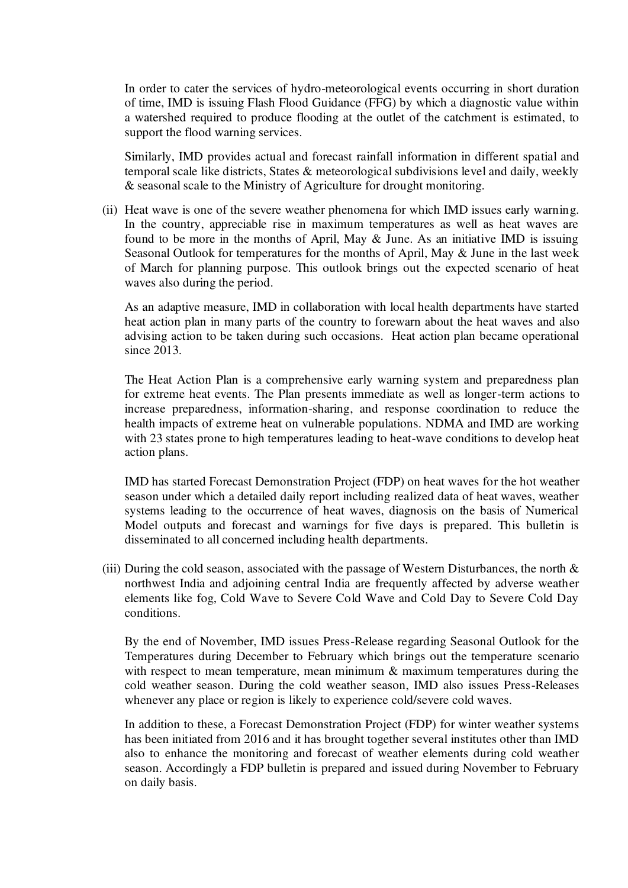In order to cater the services of hydro-meteorological events occurring in short duration of time, IMD is issuing Flash Flood Guidance (FFG) by which a diagnostic value within a watershed required to produce flooding at the outlet of the catchment is estimated, to support the flood warning services.

Similarly, IMD provides actual and forecast rainfall information in different spatial and temporal scale like districts, States & meteorological subdivisions level and daily, weekly & seasonal scale to the Ministry of Agriculture for drought monitoring.

(ii) Heat wave is one of the severe weather phenomena for which IMD issues early warning. In the country, appreciable rise in maximum temperatures as well as heat waves are found to be more in the months of April, May & June. As an initiative IMD is issuing Seasonal Outlook for temperatures for the months of April, May & June in the last week of March for planning purpose. This outlook brings out the expected scenario of heat waves also during the period.

As an adaptive measure, IMD in collaboration with local health departments have started heat action plan in many parts of the country to forewarn about the heat waves and also advising action to be taken during such occasions. Heat action plan became operational since 2013.

The Heat Action Plan is a comprehensive early warning system and preparedness plan for extreme heat events. The Plan presents immediate as well as longer-term actions to increase preparedness, information-sharing, and response coordination to reduce the health impacts of extreme heat on vulnerable populations. NDMA and IMD are working with 23 states prone to high temperatures leading to heat-wave conditions to develop heat action plans.

IMD has started Forecast Demonstration Project (FDP) on heat waves for the hot weather season under which a detailed daily report including realized data of heat waves, weather systems leading to the occurrence of heat waves, diagnosis on the basis of Numerical Model outputs and forecast and warnings for five days is prepared. This bulletin is disseminated to all concerned including health departments.

(iii) During the cold season, associated with the passage of Western Disturbances, the north  $\&$ northwest India and adjoining central India are frequently affected by adverse weather elements like fog, Cold Wave to Severe Cold Wave and Cold Day to Severe Cold Day conditions.

By the end of November, IMD issues Press-Release regarding Seasonal Outlook for the Temperatures during December to February which brings out the temperature scenario with respect to mean temperature, mean minimum & maximum temperatures during the cold weather season. During the cold weather season, IMD also issues Press-Releases whenever any place or region is likely to experience cold/severe cold waves.

In addition to these, a Forecast Demonstration Project (FDP) for winter weather systems has been initiated from 2016 and it has brought together several institutes other than IMD also to enhance the monitoring and forecast of weather elements during cold weather season. Accordingly a FDP bulletin is prepared and issued during November to February on daily basis.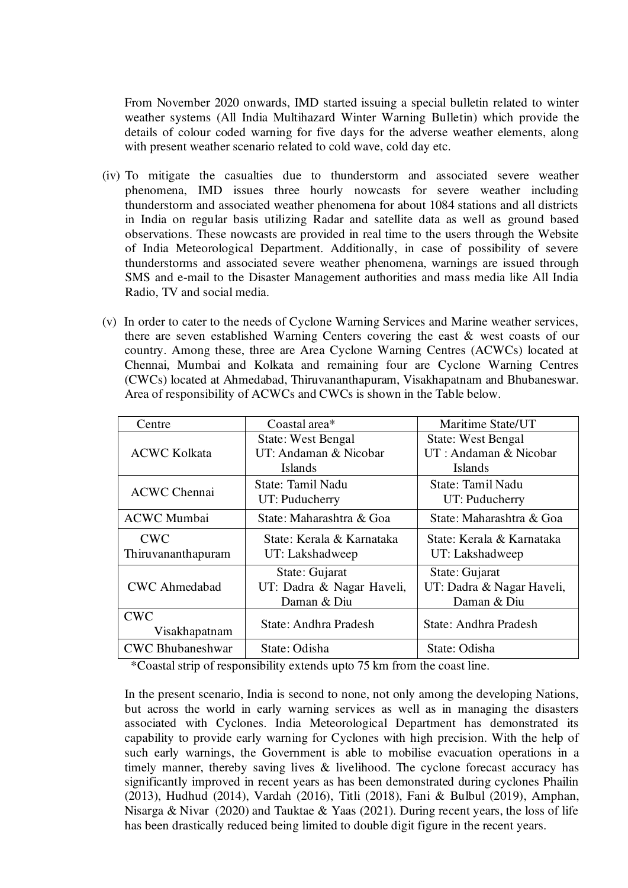From November 2020 onwards, IMD started issuing a special bulletin related to winter weather systems (All India Multihazard Winter Warning Bulletin) which provide the details of colour coded warning for five days for the adverse weather elements, along with present weather scenario related to cold wave, cold day etc.

- (iv) To mitigate the casualties due to thunderstorm and associated severe weather phenomena, IMD issues three hourly nowcasts for severe weather including thunderstorm and associated weather phenomena for about 1084 stations and all districts in India on regular basis utilizing Radar and satellite data as well as ground based observations. These nowcasts are provided in real time to the users through the Website of India Meteorological Department. Additionally, in case of possibility of severe thunderstorms and associated severe weather phenomena, warnings are issued through SMS and e-mail to the Disaster Management authorities and mass media like All India Radio, TV and social media.
- (v) In order to cater to the needs of Cyclone Warning Services and Marine weather services, there are seven established Warning Centers covering the east & west coasts of our country. Among these, three are Area Cyclone Warning Centres (ACWCs) located at Chennai, Mumbai and Kolkata and remaining four are Cyclone Warning Centres (CWCs) located at Ahmedabad, Thiruvananthapuram, Visakhapatnam and Bhubaneswar. Area of responsibility of ACWCs and CWCs is shown in the Table below.

| Centre                  | Coastal area*             | Maritime State/UT                        |  |  |  |
|-------------------------|---------------------------|------------------------------------------|--|--|--|
|                         | <b>State: West Bengal</b> | <b>State: West Bengal</b>                |  |  |  |
| <b>ACWC Kolkata</b>     | UT: Andaman & Nicobar     | UT: Andaman & Nicobar                    |  |  |  |
|                         | <b>Islands</b>            | <b>Islands</b>                           |  |  |  |
| <b>ACWC Chennai</b>     | State: Tamil Nadu         | State: Tamil Nadu                        |  |  |  |
|                         | UT: Puducherry            | UT: Puducherry                           |  |  |  |
| <b>ACWC</b> Mumbai      | State: Maharashtra & Goa  | State: Maharashtra & Goa                 |  |  |  |
| <b>CWC</b>              | State: Kerala & Karnataka | State: Kerala & Karnataka                |  |  |  |
| Thiruvananthapuram      | UT: Lakshadweep           | UT: Lakshadweep                          |  |  |  |
|                         | State: Gujarat            | State: Gujarat                           |  |  |  |
| <b>CWC</b> Ahmedabad    | UT: Dadra & Nagar Haveli, | UT: Dadra & Nagar Haveli,<br>Daman & Diu |  |  |  |
|                         | Daman & Diu               |                                          |  |  |  |
| <b>CWC</b>              | State: Andhra Pradesh     | State: Andhra Pradesh                    |  |  |  |
| Visakhapatnam           |                           |                                          |  |  |  |
| <b>CWC</b> Bhubaneshwar | State: Odisha             | State: Odisha                            |  |  |  |

\*Coastal strip of responsibility extends upto 75 km from the coast line.

In the present scenario, India is second to none, not only among the developing Nations, but across the world in early warning services as well as in managing the disasters associated with Cyclones. India Meteorological Department has demonstrated its capability to provide early warning for Cyclones with high precision. With the help of such early warnings, the Government is able to mobilise evacuation operations in a timely manner, thereby saving lives & livelihood. The cyclone forecast accuracy has significantly improved in recent years as has been demonstrated during cyclones Phailin (2013), Hudhud (2014), Vardah (2016), Titli (2018), Fani & Bulbul (2019), Amphan, Nisarga & Nivar (2020) and Tauktae & Yaas (2021). During recent years, the loss of life has been drastically reduced being limited to double digit figure in the recent years.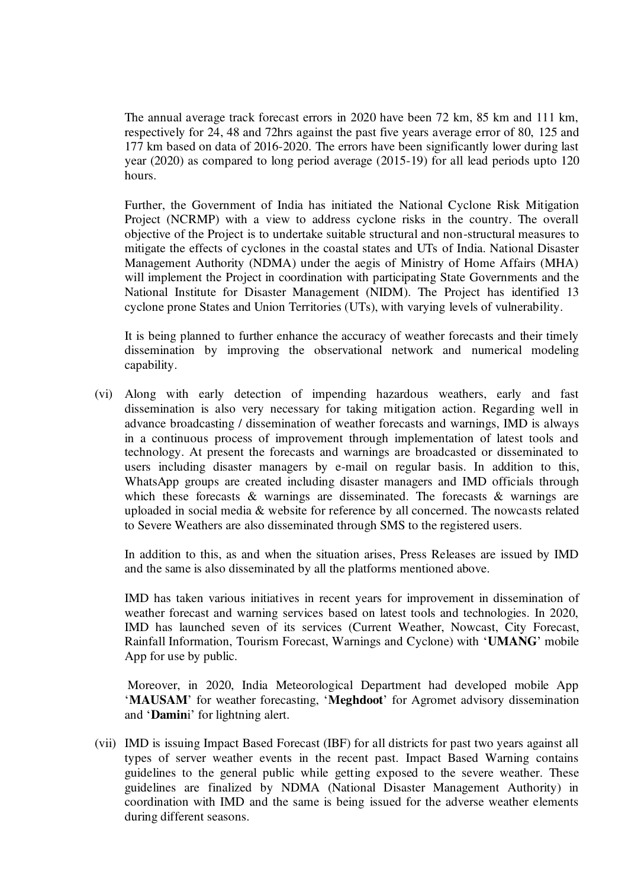The annual average track forecast errors in 2020 have been 72 km, 85 km and 111 km, respectively for 24, 48 and 72hrs against the past five years average error of 80, 125 and 177 km based on data of 2016-2020. The errors have been significantly lower during last year (2020) as compared to long period average (2015-19) for all lead periods upto 120 hours.

Further, the Government of India has initiated the National Cyclone Risk Mitigation Project (NCRMP) with a view to address cyclone risks in the country. The overall objective of the Project is to undertake suitable structural and non-structural measures to mitigate the effects of cyclones in the coastal states and UTs of India. National Disaster Management Authority (NDMA) under the aegis of Ministry of Home Affairs (MHA) will implement the Project in coordination with participating State Governments and the National Institute for Disaster Management (NIDM). The Project has identified 13 cyclone prone States and Union Territories (UTs), with varying levels of vulnerability.

It is being planned to further enhance the accuracy of weather forecasts and their timely dissemination by improving the observational network and numerical modeling capability.

(vi) Along with early detection of impending hazardous weathers, early and fast dissemination is also very necessary for taking mitigation action. Regarding well in advance broadcasting / dissemination of weather forecasts and warnings, IMD is always in a continuous process of improvement through implementation of latest tools and technology. At present the forecasts and warnings are broadcasted or disseminated to users including disaster managers by e-mail on regular basis. In addition to this, WhatsApp groups are created including disaster managers and IMD officials through which these forecasts  $\&$  warnings are disseminated. The forecasts  $\&$  warnings are uploaded in social media & website for reference by all concerned. The nowcasts related to Severe Weathers are also disseminated through SMS to the registered users.

 In addition to this, as and when the situation arises, Press Releases are issued by IMD and the same is also disseminated by all the platforms mentioned above.

IMD has taken various initiatives in recent years for improvement in dissemination of weather forecast and warning services based on latest tools and technologies. In 2020, IMD has launched seven of its services (Current Weather, Nowcast, City Forecast, Rainfall Information, Tourism Forecast, Warnings and Cyclone) with '**UMANG**' mobile App for use by public.

 Moreover, in 2020, India Meteorological Department had developed mobile App '**MAUSAM**' for weather forecasting, '**Meghdoot**' for Agromet advisory dissemination and '**Damin**i' for lightning alert.

(vii) IMD is issuing Impact Based Forecast (IBF) for all districts for past two years against all types of server weather events in the recent past. Impact Based Warning contains guidelines to the general public while getting exposed to the severe weather. These guidelines are finalized by NDMA (National Disaster Management Authority) in coordination with IMD and the same is being issued for the adverse weather elements during different seasons.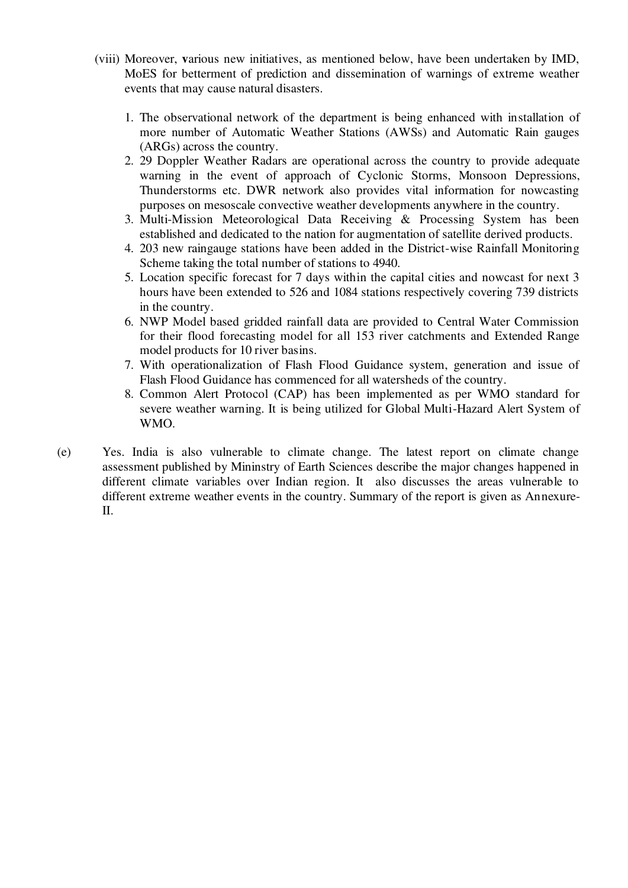- (viii) Moreover, **v**arious new initiatives, as mentioned below, have been undertaken by IMD, MoES for betterment of prediction and dissemination of warnings of extreme weather events that may cause natural disasters.
	- 1. The observational network of the department is being enhanced with installation of more number of Automatic Weather Stations (AWSs) and Automatic Rain gauges (ARGs) across the country.
	- 2. 29 Doppler Weather Radars are operational across the country to provide adequate warning in the event of approach of Cyclonic Storms, Monsoon Depressions, Thunderstorms etc. DWR network also provides vital information for nowcasting purposes on mesoscale convective weather developments anywhere in the country.
	- 3. Multi-Mission Meteorological Data Receiving & Processing System has been established and dedicated to the nation for augmentation of satellite derived products.
	- 4. 203 new raingauge stations have been added in the District-wise Rainfall Monitoring Scheme taking the total number of stations to 4940.
	- 5. Location specific forecast for 7 days within the capital cities and nowcast for next 3 hours have been extended to 526 and 1084 stations respectively covering 739 districts in the country.
	- 6. NWP Model based gridded rainfall data are provided to Central Water Commission for their flood forecasting model for all 153 river catchments and Extended Range model products for 10 river basins.
	- 7. With operationalization of Flash Flood Guidance system, generation and issue of Flash Flood Guidance has commenced for all watersheds of the country.
	- 8. Common Alert Protocol (CAP) has been implemented as per WMO standard for severe weather warning. It is being utilized for Global Multi-Hazard Alert System of WMO.
- (e)Yes. India is also vulnerable to climate change. The latest report on climate change assessment published by Mininstry of Earth Sciences describe the major changes happened in different climate variables over Indian region. It also discusses the areas vulnerable to different extreme weather events in the country. Summary of the report is given as Annexure-II.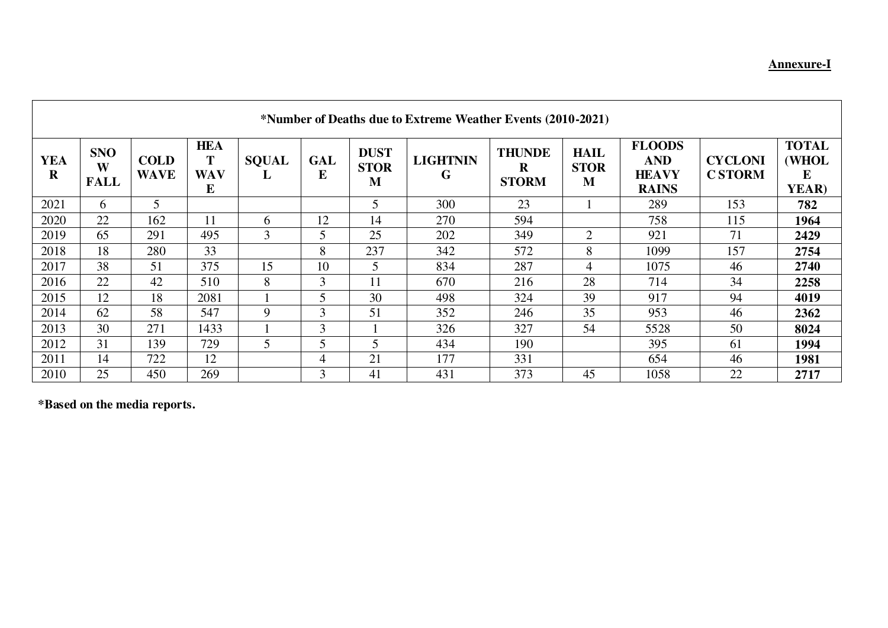# **Annexure-I**

| *Number of Deaths due to Extreme Weather Events (2010-2021) |                                |                            |                                           |                   |                 |                                 |                      |                                           |                                 |                                                             |                                  |                                     |  |
|-------------------------------------------------------------|--------------------------------|----------------------------|-------------------------------------------|-------------------|-----------------|---------------------------------|----------------------|-------------------------------------------|---------------------------------|-------------------------------------------------------------|----------------------------------|-------------------------------------|--|
| <b>YEA</b><br>$\bf R$                                       | <b>SNO</b><br>W<br><b>FALL</b> | <b>COLD</b><br><b>WAVE</b> | <b>HEA</b><br>T<br><b>WAV</b><br>$\bf{E}$ | <b>SQUAL</b><br>L | <b>GAL</b><br>E | <b>DUST</b><br><b>STOR</b><br>M | <b>LIGHTNIN</b><br>G | <b>THUNDE</b><br>$\bf{R}$<br><b>STORM</b> | <b>HAIL</b><br><b>STOR</b><br>M | <b>FLOODS</b><br><b>AND</b><br><b>HEAVY</b><br><b>RAINS</b> | <b>CYCLONI</b><br><b>C STORM</b> | <b>TOTAL</b><br>(WHOL<br>E<br>YEAR) |  |
| 2021                                                        | 6                              | 5                          |                                           |                   |                 | 5                               | 300                  | 23                                        |                                 | 289                                                         | 153                              | 782                                 |  |
| 2020                                                        | 22                             | 162                        | 11                                        | 6                 | 12              | 14                              | 270                  | 594                                       |                                 | 758                                                         | 115                              | 1964                                |  |
| 2019                                                        | 65                             | 291                        | 495                                       | 3                 | 5               | 25                              | 202                  | 349                                       | $\overline{2}$                  | 921                                                         | 71                               | 2429                                |  |
| 2018                                                        | 18                             | 280                        | 33                                        |                   | 8               | 237                             | 342                  | 572                                       | 8                               | 1099                                                        | 157                              | 2754                                |  |
| 2017                                                        | 38                             | 51                         | 375                                       | 15                | 10              | 5                               | 834                  | 287                                       | 4                               | 1075                                                        | 46                               | 2740                                |  |
| 2016                                                        | 22                             | 42                         | 510                                       | 8                 | 3               | 11                              | 670                  | 216                                       | 28                              | 714                                                         | 34                               | 2258                                |  |
| 2015                                                        | 12                             | 18                         | 2081                                      |                   | 5               | 30                              | 498                  | 324                                       | 39                              | 917                                                         | 94                               | 4019                                |  |
| 2014                                                        | 62                             | 58                         | 547                                       | 9                 | 3               | 51                              | 352                  | 246                                       | 35                              | 953                                                         | 46                               | 2362                                |  |
| 2013                                                        | 30                             | 271                        | 1433                                      |                   | 3               |                                 | 326                  | 327                                       | 54                              | 5528                                                        | 50                               | 8024                                |  |
| 2012                                                        | 31                             | 139                        | 729                                       | 5                 | 5               | 5                               | 434                  | 190                                       |                                 | 395                                                         | 61                               | 1994                                |  |
| 2011                                                        | 14                             | 722                        | 12                                        |                   | 4               | 21                              | 177                  | 331                                       |                                 | 654                                                         | 46                               | 1981                                |  |
| 2010                                                        | 25                             | 450                        | 269                                       |                   | 3               | 41                              | 431                  | 373                                       | 45                              | 1058                                                        | 22                               | 2717                                |  |

**\*Based on the media reports.**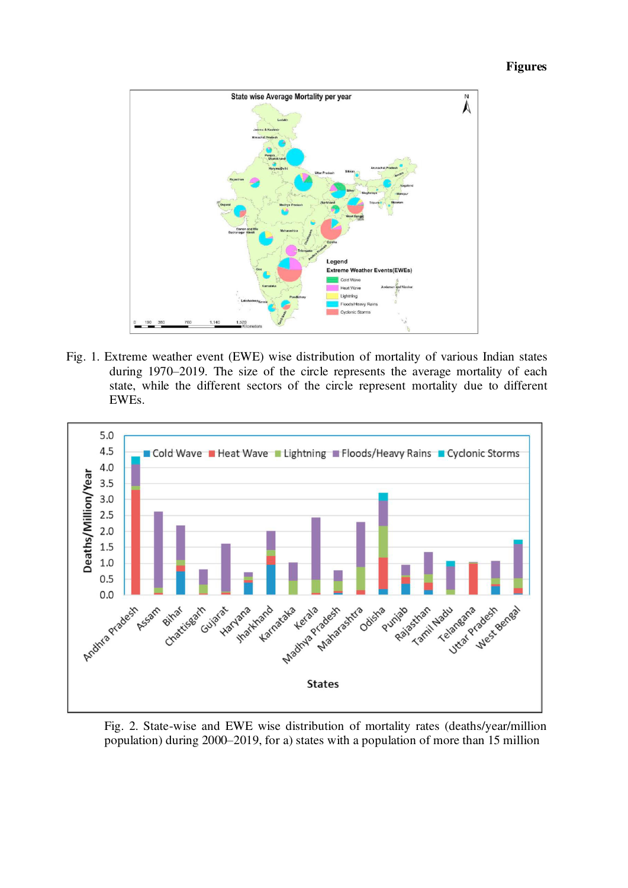### **Figures**



Fig. 1. Extreme weather event (EWE) wise distribution of mortality of various Indian states during 1970–2019. The size of the circle represents the average mortality of each state, while the different sectors of the circle represent mortality due to different EWEs.



Fig. 2. State-wise and EWE wise distribution of mortality rates (deaths/year/million population) during 2000–2019, for a) states with a population of more than 15 million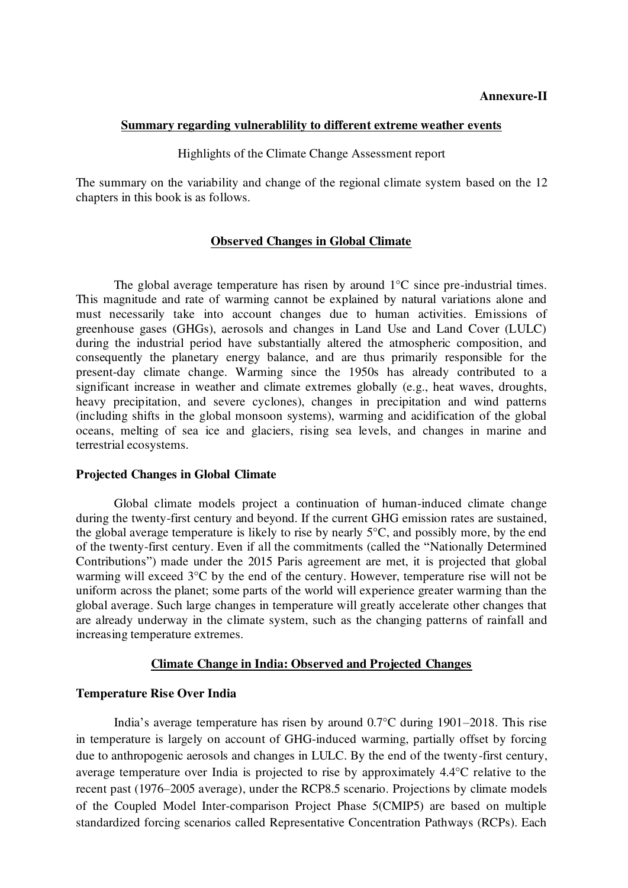### **Annexure-II**

### **Summary regarding vulnerablility to different extreme weather events**

### Highlights of the Climate Change Assessment report

The summary on the variability and change of the regional climate system based on the 12 chapters in this book is as follows.

### **Observed Changes in Global Climate**

The global average temperature has risen by around 1<sup>o</sup>C since pre-industrial times. This magnitude and rate of warming cannot be explained by natural variations alone and must necessarily take into account changes due to human activities. Emissions of greenhouse gases (GHGs), aerosols and changes in Land Use and Land Cover (LULC) during the industrial period have substantially altered the atmospheric composition, and consequently the planetary energy balance, and are thus primarily responsible for the present-day climate change. Warming since the 1950s has already contributed to a significant increase in weather and climate extremes globally (e.g., heat waves, droughts, heavy precipitation, and severe cyclones), changes in precipitation and wind patterns (including shifts in the global monsoon systems), warming and acidification of the global oceans, melting of sea ice and glaciers, rising sea levels, and changes in marine and terrestrial ecosystems.

#### **Projected Changes in Global Climate**

Global climate models project a continuation of human-induced climate change during the twenty-first century and beyond. If the current GHG emission rates are sustained, the global average temperature is likely to rise by nearly 5°C, and possibly more, by the end of the twenty-first century. Even if all the commitments (called the "Nationally Determined Contributions") made under the 2015 Paris agreement are met, it is projected that global warming will exceed 3<sup>o</sup>C by the end of the century. However, temperature rise will not be uniform across the planet; some parts of the world will experience greater warming than the global average. Such large changes in temperature will greatly accelerate other changes that are already underway in the climate system, such as the changing patterns of rainfall and increasing temperature extremes.

### **Climate Change in India: Observed and Projected Changes**

#### **Temperature Rise Over India**

India's average temperature has risen by around 0.7°C during 1901–2018. This rise in temperature is largely on account of GHG-induced warming, partially offset by forcing due to anthropogenic aerosols and changes in LULC. By the end of the twenty-first century, average temperature over India is projected to rise by approximately 4.4°C relative to the recent past (1976–2005 average), under the RCP8.5 scenario. Projections by climate models of the Coupled Model Inter-comparison Project Phase 5(CMIP5) are based on multiple standardized forcing scenarios called Representative Concentration Pathways (RCPs). Each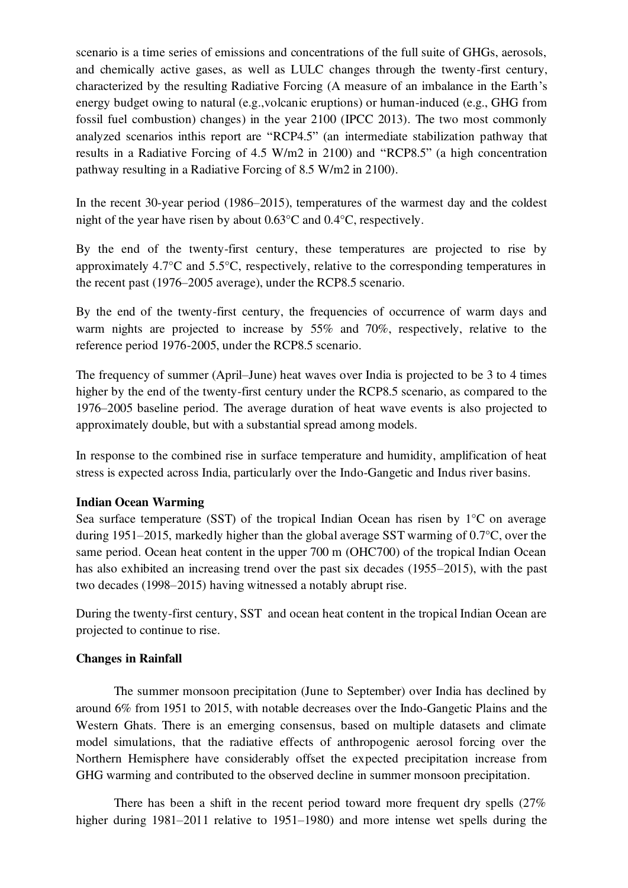scenario is a time series of emissions and concentrations of the full suite of GHGs, aerosols, and chemically active gases, as well as LULC changes through the twenty-first century, characterized by the resulting Radiative Forcing (A measure of an imbalance in the Earth's energy budget owing to natural (e.g.,volcanic eruptions) or human-induced (e.g., GHG from fossil fuel combustion) changes) in the year 2100 (IPCC 2013). The two most commonly analyzed scenarios inthis report are "RCP4.5" (an intermediate stabilization pathway that results in a Radiative Forcing of 4.5 W/m2 in 2100) and "RCP8.5" (a high concentration pathway resulting in a Radiative Forcing of 8.5 W/m2 in 2100).

In the recent 30-year period (1986–2015), temperatures of the warmest day and the coldest night of the year have risen by about 0.63°C and 0.4°C, respectively.

By the end of the twenty-first century, these temperatures are projected to rise by approximately 4.7°C and 5.5°C, respectively, relative to the corresponding temperatures in the recent past (1976–2005 average), under the RCP8.5 scenario.

By the end of the twenty-first century, the frequencies of occurrence of warm days and warm nights are projected to increase by 55% and 70%, respectively, relative to the reference period 1976-2005, under the RCP8.5 scenario.

The frequency of summer (April–June) heat waves over India is projected to be 3 to 4 times higher by the end of the twenty-first century under the RCP8.5 scenario, as compared to the 1976–2005 baseline period. The average duration of heat wave events is also projected to approximately double, but with a substantial spread among models.

In response to the combined rise in surface temperature and humidity, amplification of heat stress is expected across India, particularly over the Indo-Gangetic and Indus river basins.

# **Indian Ocean Warming**

Sea surface temperature (SST) of the tropical Indian Ocean has risen by 1°C on average during 1951–2015, markedly higher than the global average SST warming of 0.7°C, over the same period. Ocean heat content in the upper 700 m (OHC700) of the tropical Indian Ocean has also exhibited an increasing trend over the past six decades (1955–2015), with the past two decades (1998–2015) having witnessed a notably abrupt rise.

During the twenty-first century, SST and ocean heat content in the tropical Indian Ocean are projected to continue to rise.

### **Changes in Rainfall**

The summer monsoon precipitation (June to September) over India has declined by around 6% from 1951 to 2015, with notable decreases over the Indo-Gangetic Plains and the Western Ghats. There is an emerging consensus, based on multiple datasets and climate model simulations, that the radiative effects of anthropogenic aerosol forcing over the Northern Hemisphere have considerably offset the expected precipitation increase from GHG warming and contributed to the observed decline in summer monsoon precipitation.

There has been a shift in the recent period toward more frequent dry spells (27% higher during 1981–2011 relative to 1951–1980) and more intense wet spells during the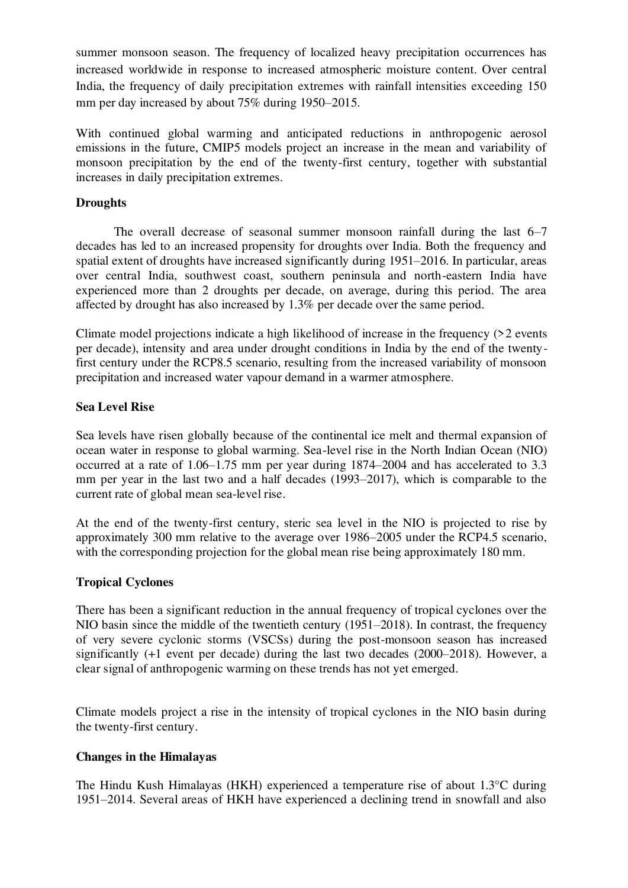summer monsoon season. The frequency of localized heavy precipitation occurrences has increased worldwide in response to increased atmospheric moisture content. Over central India, the frequency of daily precipitation extremes with rainfall intensities exceeding 150 mm per day increased by about 75% during 1950–2015.

With continued global warming and anticipated reductions in anthropogenic aerosol emissions in the future, CMIP5 models project an increase in the mean and variability of monsoon precipitation by the end of the twenty-first century, together with substantial increases in daily precipitation extremes.

# **Droughts**

The overall decrease of seasonal summer monsoon rainfall during the last 6–7 decades has led to an increased propensity for droughts over India. Both the frequency and spatial extent of droughts have increased significantly during 1951–2016. In particular, areas over central India, southwest coast, southern peninsula and north-eastern India have experienced more than 2 droughts per decade, on average, during this period. The area affected by drought has also increased by 1.3% per decade over the same period.

Climate model projections indicate a high likelihood of increase in the frequency (>2 events per decade), intensity and area under drought conditions in India by the end of the twentyfirst century under the RCP8.5 scenario, resulting from the increased variability of monsoon precipitation and increased water vapour demand in a warmer atmosphere.

# **Sea Level Rise**

Sea levels have risen globally because of the continental ice melt and thermal expansion of ocean water in response to global warming. Sea-level rise in the North Indian Ocean (NIO) occurred at a rate of 1.06–1.75 mm per year during 1874–2004 and has accelerated to 3.3 mm per year in the last two and a half decades (1993–2017), which is comparable to the current rate of global mean sea-level rise.

At the end of the twenty-first century, steric sea level in the NIO is projected to rise by approximately 300 mm relative to the average over 1986–2005 under the RCP4.5 scenario, with the corresponding projection for the global mean rise being approximately 180 mm.

# **Tropical Cyclones**

There has been a significant reduction in the annual frequency of tropical cyclones over the NIO basin since the middle of the twentieth century (1951–2018). In contrast, the frequency of very severe cyclonic storms (VSCSs) during the post-monsoon season has increased significantly (+1 event per decade) during the last two decades (2000–2018). However, a clear signal of anthropogenic warming on these trends has not yet emerged.

Climate models project a rise in the intensity of tropical cyclones in the NIO basin during the twenty-first century.

# **Changes in the Himalayas**

The Hindu Kush Himalayas (HKH) experienced a temperature rise of about 1.3°C during 1951–2014. Several areas of HKH have experienced a declining trend in snowfall and also